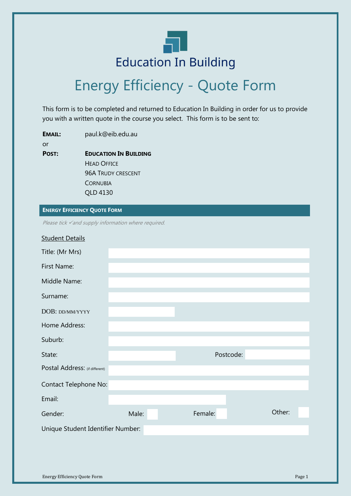

# Energy Efficiency - Quote Form

This form is to be completed and returned to Education In Building in order for us to provide you with a written quote in the course you select. This form is to be sent to:

**EMAIL:** paul.k@eib.edu.au or **POST: EDUCATION IN BUILDING** HEAD OFFICE 96A TRUDY CRESCENT **CORNUBIA** QLD 4130

#### **ENERGY EFFICIENCY QUOTE FORM**

Please tick √and supply information where required.

| <b>Student Details</b>            |       |         |           |        |
|-----------------------------------|-------|---------|-----------|--------|
| Title: (Mr Mrs)                   |       |         |           |        |
| First Name:                       |       |         |           |        |
| Middle Name:                      |       |         |           |        |
| Surname:                          |       |         |           |        |
| DOB: DD/MM/YYYY                   |       |         |           |        |
| Home Address:                     |       |         |           |        |
| Suburb:                           |       |         |           |        |
| State:                            |       |         | Postcode: |        |
| Postal Address: (if different)    |       |         |           |        |
| Contact Telephone No:             |       |         |           |        |
| Email:                            |       |         |           |        |
| Gender:                           | Male: | Female: |           | Other: |
| Unique Student Identifier Number: |       |         |           |        |
|                                   |       |         |           |        |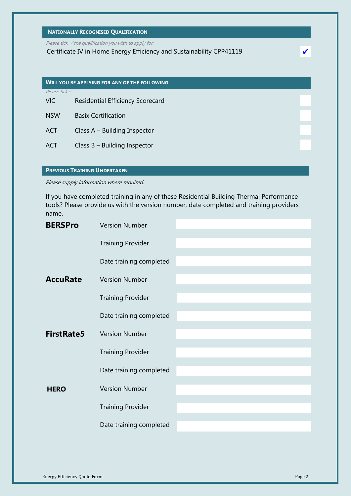## **NATIONALLY RECOGNISED QUALIFICATION**

Please tick  $\checkmark$  the qualification you wish to apply for:

Certificate IV in Home Energy Efficiency and Sustainability CPP41119

|                          | <b>WILL YOU BE APPLYING FOR ANY OF THE FOLLOWING</b> |
|--------------------------|------------------------------------------------------|
| Please tick $\checkmark$ |                                                      |
| <b>VIC</b>               | Residential Efficiency Scorecard                     |
| <b>NSW</b>               | <b>Basix Certification</b>                           |
|                          |                                                      |
| <b>ACT</b>               | Class A - Building Inspector                         |
| ACT                      | Class $B -$ Building Inspector                       |

#### **PREVIOUS TRAINING UNDERTAKEN**

Please supply information where required.

If you have completed training in any of these Residential Building Thermal Performance tools? Please provide us with the version number, date completed and training providers name.

| <b>BERSPro</b>    | <b>Version Number</b>    |  |
|-------------------|--------------------------|--|
|                   | <b>Training Provider</b> |  |
|                   | Date training completed  |  |
| <b>AccuRate</b>   | <b>Version Number</b>    |  |
|                   | <b>Training Provider</b> |  |
|                   | Date training completed  |  |
| <b>FirstRate5</b> | <b>Version Number</b>    |  |
|                   | <b>Training Provider</b> |  |
|                   | Date training completed  |  |
| <b>HERO</b>       | <b>Version Number</b>    |  |
|                   | <b>Training Provider</b> |  |
|                   | Date training completed  |  |

✔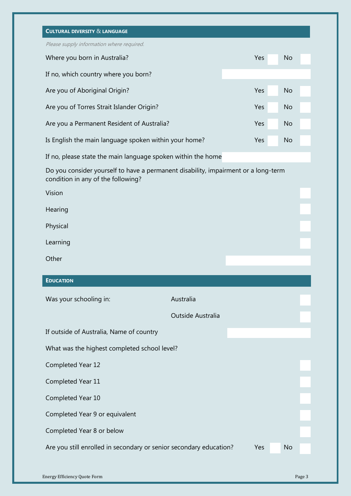| <b>CULTURAL DIVERSITY &amp; LANGUAGE</b>                                                                                 |                   |     |           |
|--------------------------------------------------------------------------------------------------------------------------|-------------------|-----|-----------|
| Please supply information where required.                                                                                |                   |     |           |
| Where you born in Australia?                                                                                             |                   | Yes | <b>No</b> |
| If no, which country where you born?                                                                                     |                   |     |           |
| Are you of Aboriginal Origin?                                                                                            |                   | Yes | <b>No</b> |
| Are you of Torres Strait Islander Origin?                                                                                |                   | Yes | <b>No</b> |
| Are you a Permanent Resident of Australia?                                                                               |                   | Yes | <b>No</b> |
| Is English the main language spoken within your home?                                                                    |                   | Yes | <b>No</b> |
| If no, please state the main language spoken within the home                                                             |                   |     |           |
| Do you consider yourself to have a permanent disability, impairment or a long-term<br>condition in any of the following? |                   |     |           |
| Vision                                                                                                                   |                   |     |           |
| Hearing                                                                                                                  |                   |     |           |
| Physical                                                                                                                 |                   |     |           |
| Learning                                                                                                                 |                   |     |           |
|                                                                                                                          |                   |     |           |
| Other                                                                                                                    |                   |     |           |
| <b>EDUCATION</b>                                                                                                         |                   |     |           |
|                                                                                                                          | Australia         |     |           |
| Was your schooling in:                                                                                                   | Outside Australia |     |           |
|                                                                                                                          |                   |     |           |
| If outside of Australia, Name of country                                                                                 |                   |     |           |
| What was the highest completed school level?                                                                             |                   |     |           |
| Completed Year 12                                                                                                        |                   |     |           |
| Completed Year 11                                                                                                        |                   |     |           |
| Completed Year 10                                                                                                        |                   |     |           |
| Completed Year 9 or equivalent                                                                                           |                   |     |           |
| Completed Year 8 or below<br>Are you still enrolled in secondary or senior secondary education?                          |                   | Yes | <b>No</b> |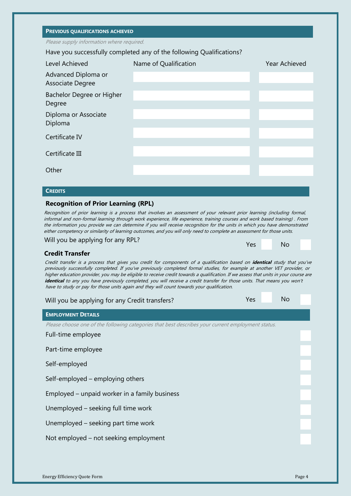#### **PREVIOUS QUALIFICATIONS ACHIEVED**

Please supply information where required.

Have you successfully completed any of the following Qualifications?

| Level Achieved                          | Name of Qualification | Year Achieved |
|-----------------------------------------|-----------------------|---------------|
| Advanced Diploma or<br>Associate Degree |                       |               |
| Bachelor Degree or Higher<br>Degree     |                       |               |
| Diploma or Associate<br>Diploma         |                       |               |
| Certificate IV                          |                       |               |
| Certificate III                         |                       |               |
| Other                                   |                       |               |
|                                         |                       |               |
| <b>CREDITS</b>                          |                       |               |

## **Recognition of Prior Learning (RPL)**

Recognition of prior learning is a process that involves an assessment of your relevant prior learning (including formal, informal and non-formal learning through work experience, life experience, training courses and work based training) . From the information you provide we can determine if you will receive recognition for the units in which you have demonstrated either competency or similarity of learning outcomes, and you will only need to complete an assessment for those units.

Will you be applying for any RPL?

| Yes | No |
|-----|----|

## **Credit Transfer**

Credit transfer is a process that gives you credit for components of a qualification based on **identical** study that you've previously successfully completed. If you've previously completed formal studies, for example at another VET provider, or higher education provider, you may be eligible to receive credit towards a qualification. If we assess that units in your course are **identical** to any you have previously completed, you will receive a credit transfer for those units. That means you won't have to study or pay for those units again and they will count towards your qualification.

| Yes<br>Will you be applying for any Credit transfers?                                             | <b>No</b> |
|---------------------------------------------------------------------------------------------------|-----------|
| <b>EMPLOYMENT DETAILS</b>                                                                         |           |
| Please choose one of the following categories that best describes your current employment status. |           |
| Full-time employee                                                                                |           |
| Part-time employee                                                                                |           |
| Self-employed                                                                                     |           |
| Self-employed – employing others                                                                  |           |
| Employed – unpaid worker in a family business                                                     |           |
| Unemployed – seeking full time work                                                               |           |
| Unemployed – seeking part time work                                                               |           |
| Not employed – not seeking employment                                                             |           |
|                                                                                                   |           |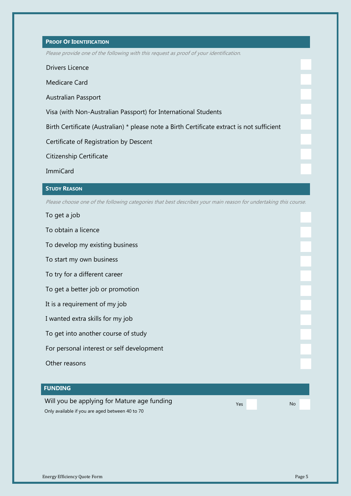## **PROOF OF IDENTIFICATION**

Please provide one of the following with this request as proof of your identification.

Drivers Licence

Medicare Card

Australian Passport

Visa (with Non-Australian Passport) for International Students

Birth Certificate (Australian) \* please note a Birth Certificate extract is not sufficient

Certificate of Registration by Descent

Citizenship Certificate

ImmiCard

#### **STUDY REASON**

Please choose one of the following categories that best describes your main reason for undertaking this course.

To get a job

To obtain a licence

To develop my existing business

To start my own business

To try for a different career

To get a better job or promotion

It is a requirement of my job

I wanted extra skills for my job

To get into another course of study

For personal interest or self development

Other reasons

## **FUNDING**

Will you be applying for Mature age funding Only available if you are aged between 40 to 70

Yes No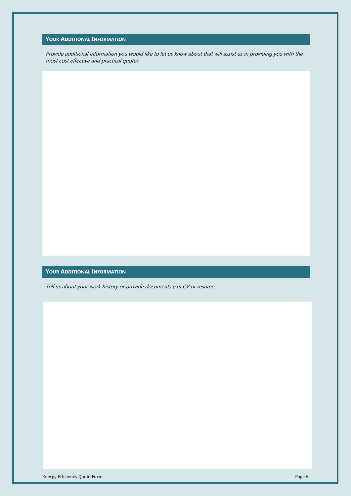## **YOUR ADDITIONAL INFORMATION**

Provide additional information you would like to let us know about that will assist us in providing you with the most cost effective and practical quote?

#### **YOUR ADDITIONAL INFORMATION**

Tell us about your work history or provide documents (i.e) CV or resume.